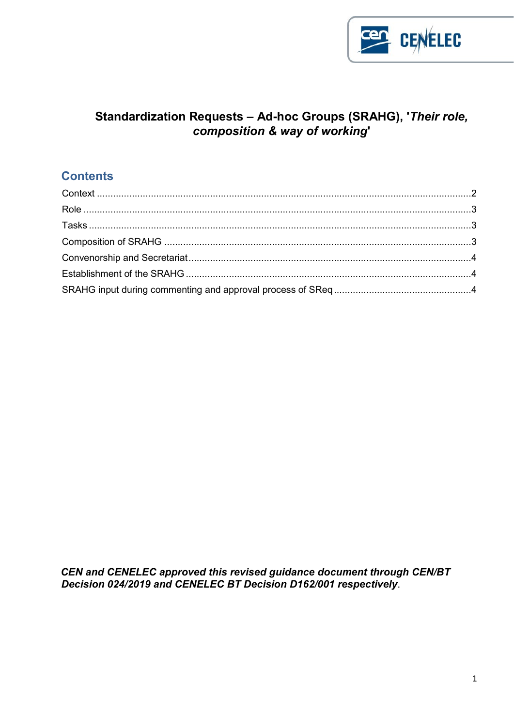

# Standardization Requests - Ad-hoc Groups (SRAHG), 'Their role, composition & way of working'

# **Contents**

CEN and CENELEC approved this revised guidance document through CEN/BT Decision 024/2019 and CENELEC BT Decision D162/001 respectively.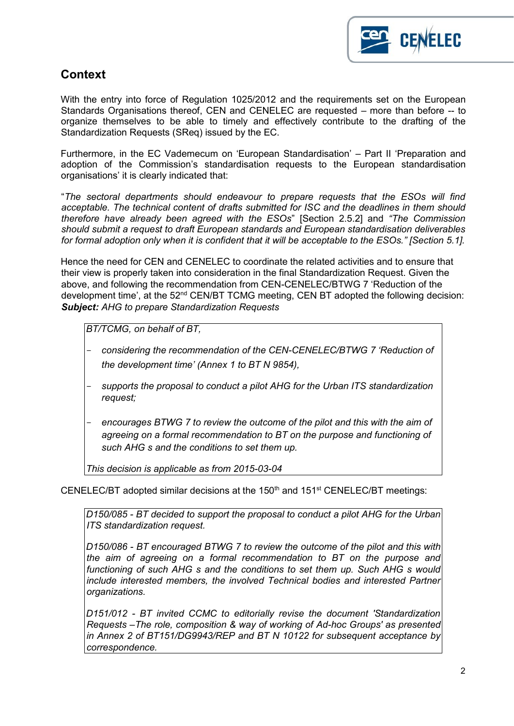

# <span id="page-1-0"></span>**Context**

With the entry into force of Regulation 1025/2012 and the requirements set on the European Standards Organisations thereof, CEN and CENELEC are requested – more than before -- to organize themselves to be able to timely and effectively contribute to the drafting of the Standardization Requests (SReq) issued by the EC.

Furthermore, in the EC Vademecum on 'European Standardisation' – Part II 'Preparation and adoption of the Commission's standardisation requests to the European standardisation organisations' it is clearly indicated that:

"*The sectoral departments should endeavour to prepare requests that the ESOs will find acceptable. The technical content of drafts submitted for ISC and the deadlines in them should therefore have already been agreed with the ESOs*" [Section 2.5.2] and *"The Commission should submit a request to draft European standards and European standardisation deliverables for formal adoption only when it is confident that it will be acceptable to the ESOs." [Section 5.1].* 

Hence the need for CEN and CENELEC to coordinate the related activities and to ensure that their view is properly taken into consideration in the final Standardization Request. Given the above, and following the recommendation from CEN-CENELEC/BTWG 7 'Reduction of the development time', at the 52<sup>nd</sup> CEN/BT TCMG meeting, CEN BT adopted the following decision: *Subject: AHG to prepare Standardization Requests* 

*BT/TCMG, on behalf of BT,* 

- *considering the recommendation of the CEN-CENELEC/BTWG 7 'Reduction of the development time' (Annex 1 to BT N 9854),*
- *supports the proposal to conduct a pilot AHG for the Urban ITS standardization request;*
- *encourages BTWG 7 to review the outcome of the pilot and this with the aim of agreeing on a formal recommendation to BT on the purpose and functioning of such AHG s and the conditions to set them up.*

*This decision is applicable as from 2015-03-04* 

CENELEC/BT adopted similar decisions at the  $150<sup>th</sup>$  and  $151<sup>st</sup>$  CENELEC/BT meetings:

*D150/085 - BT decided to support the proposal to conduct a pilot AHG for the Urban ITS standardization request.* 

*D150/086 - BT encouraged BTWG 7 to review the outcome of the pilot and this with the aim of agreeing on a formal recommendation to BT on the purpose and*  functioning of such AHG s and the conditions to set them up. Such AHG s would *include interested members, the involved Technical bodies and interested Partner organizations.* 

*D151/012 - BT invited CCMC to editorially revise the document 'Standardization Requests –The role, composition & way of working of Ad-hoc Groups' as presented in Annex 2 of BT151/DG9943/REP and BT N 10122 for subsequent acceptance by correspondence.*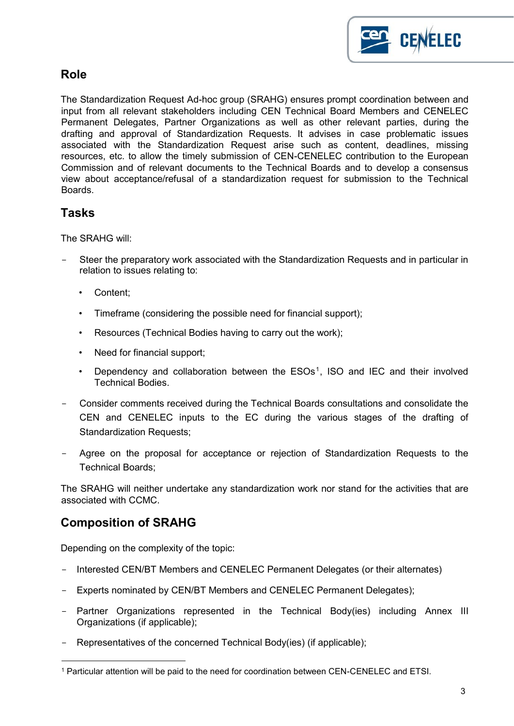

# <span id="page-2-0"></span>**Role**

The Standardization Request Ad-hoc group (SRAHG) ensures prompt coordination between and input from all relevant stakeholders including CEN Technical Board Members and CENELEC Permanent Delegates, Partner Organizations as well as other relevant parties, during the drafting and approval of Standardization Requests. It advises in case problematic issues associated with the Standardization Request arise such as content, deadlines, missing resources, etc. to allow the timely submission of CEN-CENELEC contribution to the European Commission and of relevant documents to the Technical Boards and to develop a consensus view about acceptance/refusal of a standardization request for submission to the Technical Boards.

# <span id="page-2-1"></span>**Tasks**

The SRAHG will:

- Steer the preparatory work associated with the Standardization Requests and in particular in relation to issues relating to:
	- Content;
	- Timeframe (considering the possible need for financial support);
	- Resources (Technical Bodies having to carry out the work);
	- Need for financial support;
	- Dependency and collaboration between the  $ESOs<sup>1</sup>$ , ISO and IEC and their involved Technical Bodies.
- Consider comments received during the Technical Boards consultations and consolidate the CEN and CENELEC inputs to the EC during the various stages of the drafting of Standardization Requests;
- Agree on the proposal for acceptance or rejection of Standardization Requests to the Technical Boards;

The SRAHG will neither undertake any standardization work nor stand for the activities that are associated with CCMC.

# <span id="page-2-2"></span>**Composition of SRAHG**

 $\overline{\phantom{a}}$ 

Depending on the complexity of the topic:

- Interested CEN/BT Members and CENELEC Permanent Delegates (or their alternates)
- Experts nominated by CEN/BT Members and CENELEC Permanent Delegates);
- Partner Organizations represented in the Technical Body(ies) including Annex III Organizations (if applicable);
- Representatives of the concerned Technical Body(ies) (if applicable);

<sup>1</sup> Particular attention will be paid to the need for coordination between CEN-CENELEC and ETSI.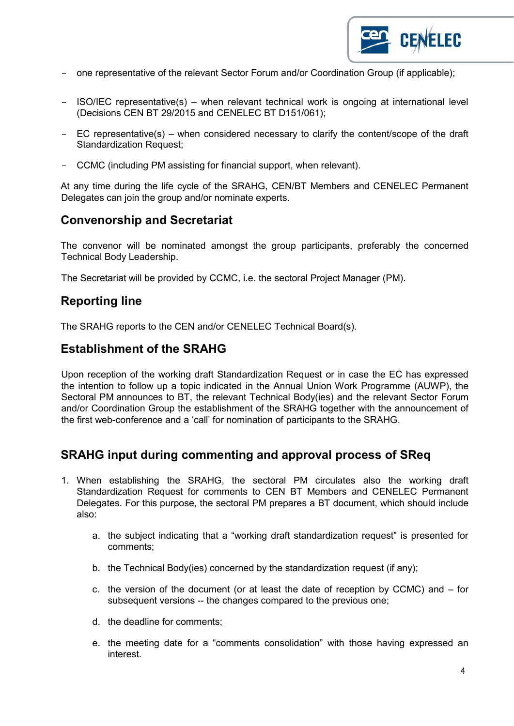

- one representative of the relevant Sector Forum and/or Coordination Group (if applicable);
- ISO/IEC representative(s) when relevant technical work is ongoing at international level (Decisions CEN BT 29/2015 and CENELEC BT D151/061);
- EC representative(s) when considered necessary to clarify the content/scope of the draft Standardization Request;
- CCMC (including PM assisting for financial support, when relevant).

At any time during the life cycle of the SRAHG, CEN/BT Members and CENELEC Permanent Delegates can join the group and/or nominate experts.

# <span id="page-3-0"></span>**Convenorship and Secretariat**

The convenor will be nominated amongst the group participants, preferably the concerned Technical Body Leadership.

The Secretariat will be provided by CCMC, i.e. the sectoral Project Manager (PM).

## **Reporting line**

The SRAHG reports to the CEN and/or CENELEC Technical Board(s).

## <span id="page-3-1"></span>**Establishment of the SRAHG**

Upon reception of the working draft Standardization Request or in case the EC has expressed the intention to follow up a topic indicated in the Annual Union Work Programme (AUWP), the Sectoral PM announces to BT, the relevant Technical Body(ies) and the relevant Sector Forum and/or Coordination Group the establishment of the SRAHG together with the announcement of the first web-conference and a 'call' for nomination of participants to the SRAHG.

## <span id="page-3-2"></span>**SRAHG input during commenting and approval process of SReq**

- 1. When establishing the SRAHG, the sectoral PM circulates also the working draft Standardization Request for comments to CEN BT Members and CENELEC Permanent Delegates. For this purpose, the sectoral PM prepares a BT document, which should include also:
	- a. the subject indicating that a "working draft standardization request" is presented for comments;
	- b. the Technical Body(ies) concerned by the standardization request (if any);
	- c. the version of the document (or at least the date of reception by CCMC) and for subsequent versions -- the changes compared to the previous one;
	- d. the deadline for comments;
	- e. the meeting date for a "comments consolidation" with those having expressed an interest.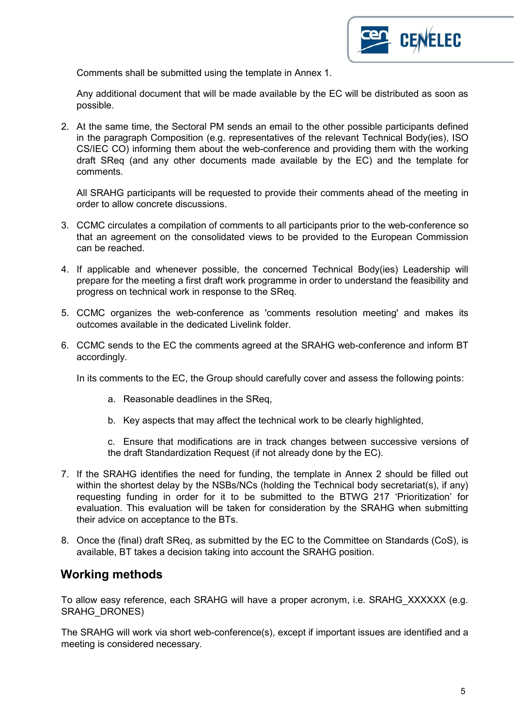

Comments shall be submitted using the template in Annex 1.

Any additional document that will be made available by the EC will be distributed as soon as possible.

2. At the same time, the Sectoral PM sends an email to the other possible participants defined in the paragraph Composition (e.g. representatives of the relevant Technical Body(ies), ISO CS/IEC CO) informing them about the web-conference and providing them with the working draft SReq (and any other documents made available by the EC) and the template for comments.

All SRAHG participants will be requested to provide their comments ahead of the meeting in order to allow concrete discussions.

- 3. CCMC circulates a compilation of comments to all participants prior to the web-conference so that an agreement on the consolidated views to be provided to the European Commission can be reached.
- 4. If applicable and whenever possible, the concerned Technical Body(ies) Leadership will prepare for the meeting a first draft work programme in order to understand the feasibility and progress on technical work in response to the SReq.
- 5. CCMC organizes the web-conference as 'comments resolution meeting' and makes its outcomes available in the dedicated Livelink folder.
- 6. CCMC sends to the EC the comments agreed at the SRAHG web-conference and inform BT accordingly.

In its comments to the EC, the Group should carefully cover and assess the following points:

- a. Reasonable deadlines in the SReq,
- b. Key aspects that may affect the technical work to be clearly highlighted,

c. Ensure that modifications are in track changes between successive versions of the draft Standardization Request (if not already done by the EC).

- 7. If the SRAHG identifies the need for funding, the template in Annex 2 should be filled out within the shortest delay by the NSBs/NCs (holding the Technical body secretariat(s), if any) requesting funding in order for it to be submitted to the BTWG 217 'Prioritization' for evaluation. This evaluation will be taken for consideration by the SRAHG when submitting their advice on acceptance to the BTs.
- 8. Once the (final) draft SReq, as submitted by the EC to the Committee on Standards (CoS), is available, BT takes a decision taking into account the SRAHG position.

## **Working methods**

To allow easy reference, each SRAHG will have a proper acronym, i.e. SRAHG\_XXXXXX (e.g. SRAHG\_DRONES)

The SRAHG will work via short web-conference(s), except if important issues are identified and a meeting is considered necessary.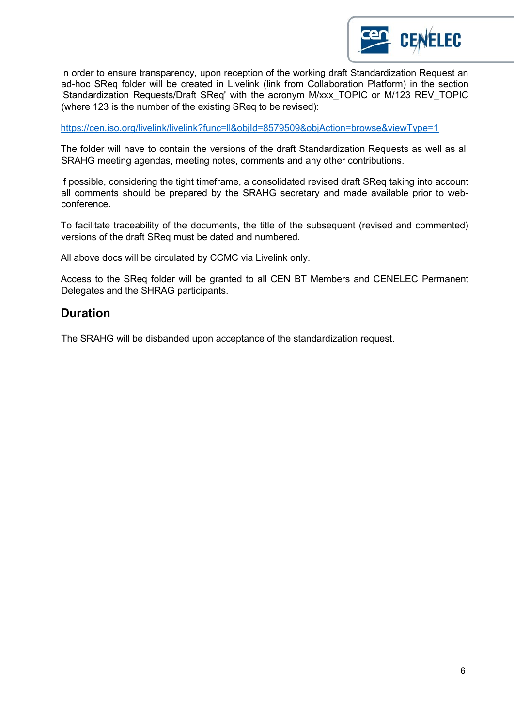

In order to ensure transparency, upon reception of the working draft Standardization Request an ad-hoc SReq folder will be created in Livelink (link from Collaboration Platform) in the section 'Standardization Requests/Draft SReq' with the acronym M/xxx\_TOPIC or M/123 REV\_TOPIC (where 123 is the number of the existing SReq to be revised):

<https://cen.iso.org/livelink/livelink?func=ll&objId=8579509&objAction=browse&viewType=1>

The folder will have to contain the versions of the draft Standardization Requests as well as all SRAHG meeting agendas, meeting notes, comments and any other contributions.

If possible, considering the tight timeframe, a consolidated revised draft SReq taking into account all comments should be prepared by the SRAHG secretary and made available prior to webconference.

To facilitate traceability of the documents, the title of the subsequent (revised and commented) versions of the draft SReq must be dated and numbered.

All above docs will be circulated by CCMC via Livelink only.

Access to the SReq folder will be granted to all CEN BT Members and CENELEC Permanent Delegates and the SHRAG participants.

#### **Duration**

The SRAHG will be disbanded upon acceptance of the standardization request.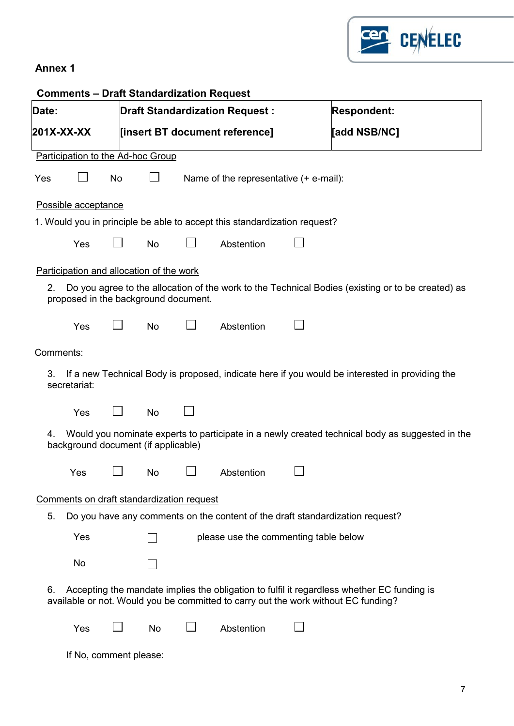

## **Annex 1**

| <b>Comments - Draft Standardization Request</b>                                                                                                 |                                                                                                                                                                                  |                                       |                                           |  |                                                                           |                    |                                                                               |  |  |
|-------------------------------------------------------------------------------------------------------------------------------------------------|----------------------------------------------------------------------------------------------------------------------------------------------------------------------------------|---------------------------------------|-------------------------------------------|--|---------------------------------------------------------------------------|--------------------|-------------------------------------------------------------------------------|--|--|
| Date:                                                                                                                                           |                                                                                                                                                                                  |                                       |                                           |  | <b>Draft Standardization Request:</b>                                     | <b>Respondent:</b> |                                                                               |  |  |
|                                                                                                                                                 | 201X-XX-XX                                                                                                                                                                       |                                       |                                           |  | [insert BT document reference]                                            |                    | [add NSB/NC]                                                                  |  |  |
| Participation to the Ad-hoc Group                                                                                                               |                                                                                                                                                                                  |                                       |                                           |  |                                                                           |                    |                                                                               |  |  |
| Yes                                                                                                                                             |                                                                                                                                                                                  | No                                    |                                           |  | Name of the representative (+ e-mail):                                    |                    |                                                                               |  |  |
| Possible acceptance                                                                                                                             |                                                                                                                                                                                  |                                       |                                           |  |                                                                           |                    |                                                                               |  |  |
|                                                                                                                                                 |                                                                                                                                                                                  |                                       |                                           |  | 1. Would you in principle be able to accept this standardization request? |                    |                                                                               |  |  |
|                                                                                                                                                 | Yes                                                                                                                                                                              |                                       | No                                        |  | Abstention                                                                |                    |                                                                               |  |  |
| Participation and allocation of the work                                                                                                        |                                                                                                                                                                                  |                                       |                                           |  |                                                                           |                    |                                                                               |  |  |
| Do you agree to the allocation of the work to the Technical Bodies (existing or to be created) as<br>2.<br>proposed in the background document. |                                                                                                                                                                                  |                                       |                                           |  |                                                                           |                    |                                                                               |  |  |
|                                                                                                                                                 | Yes                                                                                                                                                                              |                                       | <b>No</b>                                 |  | Abstention                                                                |                    |                                                                               |  |  |
| Comments:                                                                                                                                       |                                                                                                                                                                                  |                                       |                                           |  |                                                                           |                    |                                                                               |  |  |
| If a new Technical Body is proposed, indicate here if you would be interested in providing the<br>3.<br>secretariat:                            |                                                                                                                                                                                  |                                       |                                           |  |                                                                           |                    |                                                                               |  |  |
|                                                                                                                                                 | Yes                                                                                                                                                                              |                                       | <b>No</b>                                 |  |                                                                           |                    |                                                                               |  |  |
| Would you nominate experts to participate in a newly created technical body as suggested in the<br>4.<br>background document (if applicable)    |                                                                                                                                                                                  |                                       |                                           |  |                                                                           |                    |                                                                               |  |  |
|                                                                                                                                                 | Yes                                                                                                                                                                              |                                       | $\Box$ No                                 |  | $\Box$ Abstention                                                         |                    |                                                                               |  |  |
|                                                                                                                                                 |                                                                                                                                                                                  |                                       | Comments on draft standardization request |  |                                                                           |                    |                                                                               |  |  |
| 5.                                                                                                                                              |                                                                                                                                                                                  |                                       |                                           |  |                                                                           |                    | Do you have any comments on the content of the draft standardization request? |  |  |
|                                                                                                                                                 | Yes                                                                                                                                                                              | please use the commenting table below |                                           |  |                                                                           |                    |                                                                               |  |  |
|                                                                                                                                                 | No                                                                                                                                                                               |                                       |                                           |  |                                                                           |                    |                                                                               |  |  |
| 6.                                                                                                                                              | Accepting the mandate implies the obligation to fulfil it regardless whether EC funding is<br>available or not. Would you be committed to carry out the work without EC funding? |                                       |                                           |  |                                                                           |                    |                                                                               |  |  |
|                                                                                                                                                 | Yes                                                                                                                                                                              |                                       | No                                        |  | Abstention                                                                |                    |                                                                               |  |  |
|                                                                                                                                                 | If No, comment please:                                                                                                                                                           |                                       |                                           |  |                                                                           |                    |                                                                               |  |  |